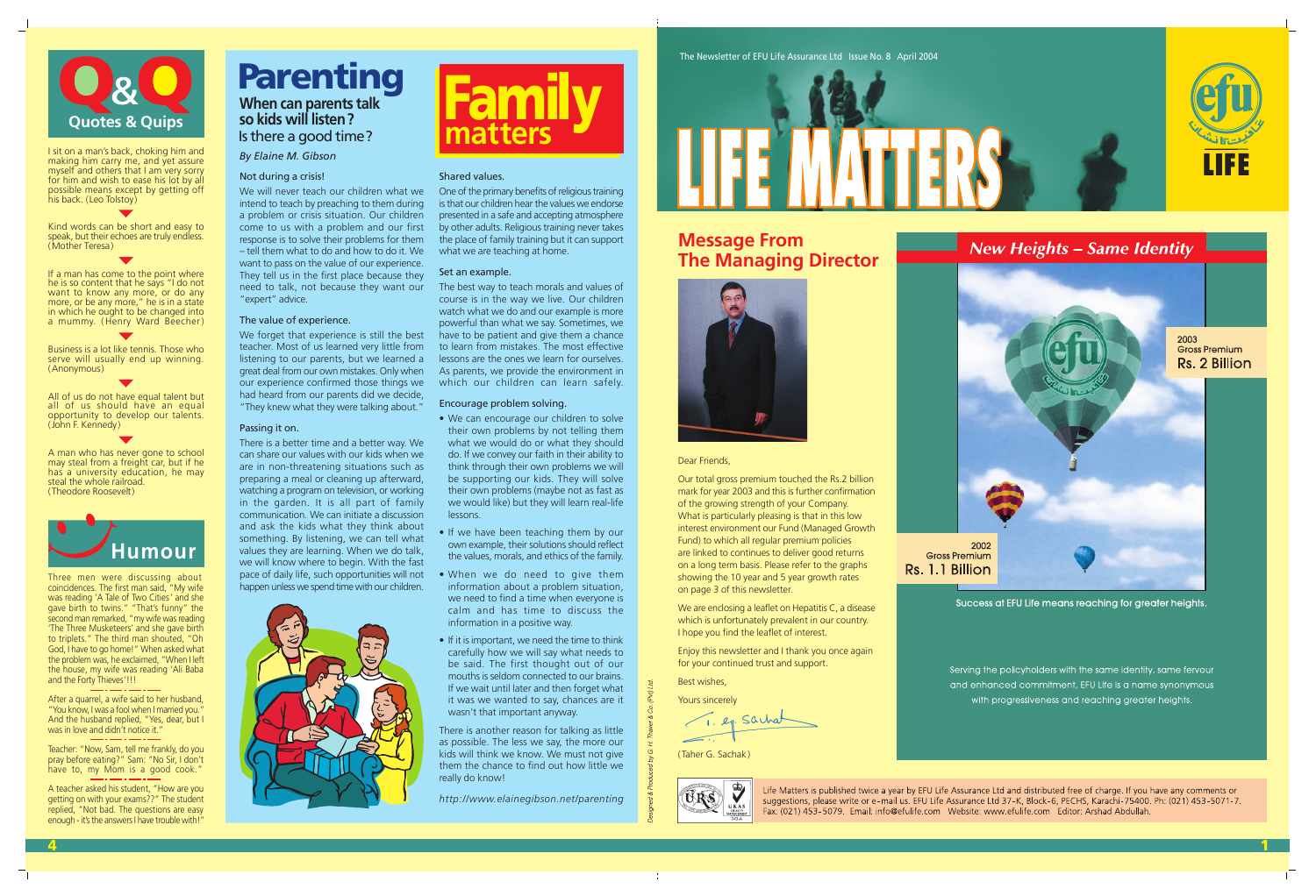

### Dear Friends,

Our total gross premium touched the Rs.2 billion mark for year 2003 and this is further confirmation of the growing strength of your Company. What is particularly pleasing is that in this low interest environment our Fund (Managed Growth Fund) to which all regular premium policies are linked to continues to deliver good returns on a long term basis. Please refer to the graphs showing the 10 year and 5 year growth rates on page 3 of this newsletter.

We are enclosing a leaflet on Hepatitis C, a disease which is unfortunately prevalent in our country. I hope you find the leaflet of interest.

If a man has come to the point where he is so content that he says "I do not want to know any more, or do any more, or be any more," he is in a state in which he ought to be changed into a mummy. ( Henry Ward Beecher )

> Enjoy this newsletter and I thank you once again for your continued trust and support.

Best wishes,

Yours sincerely

1. ep. Sacha

(Taher G. Sachak)



Life Matters is published twice a year by EFU Life Assurance Ltd and distributed free of charge. If you have any comments or suggestions, please write or e-mail us. EFU Life Assurance Ltd 37-K, Block-6, PECHS, Karachi-75400. Ph: (021) 453-5071-7. Fax: (021) 453-5079. Email: info@efulife.com Website: www.efulife.com Editor: Arshad Abdullah.

Rs. 1.1 Billion





I sit on a man's back, choking him and making him carry me, and yet assure myself and others that I am very sorry for him and wish to ease his lot by all possible means except by getting off his back. (Leo Tolstoy)

Kind words can be short and easy to speak, but their echoes are truly endless. (Mother Teresa)

After a quarrel, a wife said to her husband, "You know, I was a fool when I married you." And the husband replied, "Yes, dear, but I was in love and didn't notice it.

Business is a lot like tennis. Those who serve will usually end up winning. (Anonymous)

All of us do not have equal talent but all of us should have an equal opportunity to develop our talents. (John F. Kennedy)

A man who has never gone to school may steal from a freight car, but if he has a university education, he may steal the whole railroad. (Theodore Roosevelt)

Three men were discussing about coincidences. The first man said, "My wife was reading 'A Tale of Two Cities ' and she gave birth to twins." "That's funny" the second man remarked, "my wife was reading 'The Three Musketeers' and she gave birth to triplets." The third man shouted, "Oh God, I have to go home!" When asked what the problem was, he exclaimed, "When I left the house, my wife was reading 'Ali Baba and the Forty Thieves'!!!

One of the primary benefits of religious training is that our children hear the values we endorse presented in a safe and accepting atmosphere by other adults. Religious training never takes the place of family training but it can support what we are teaching at home.

The best way to teach morals and values of course is in the way we live. Our children watch what we do and our example is more powerful than what we say. Sometimes, we have to be patient and give them a chance to learn from mistakes. The most effective lessons are the ones we learn for ourselves. As parents, we provide the environment in which our children can learn safely.

Teacher: "Now, Sam, tell me frankly, do you pray before eating?" Sam: "No Sir, I don't have to, my Mom is a good cook."

A teacher asked his student, "How are you getting on with your exams??" The student replied, "Not bad. The questions are easy enough - it's the answers I have trouble with!"

## **Message From The Managing Director**



### *By Elaine M. Gibson*

## Parenting **When can parents talk so kids will listen?** Is there a good time?



### Not during a crisis!

We will never teach our children what we intend to teach by preaching to them during a problem or crisis situation. Our children come to us with a problem and our first response is to solve their problems for them – tell them what to do and how to do it. We want to pass on the value of our experience. They tell us in the first place because they need to talk, not because they want our "expert" advice.

### The value of experience.

We forget that experience is still the best teacher. Most of us learned very little from listening to our parents, but we learned a great deal from our own mistakes. Only when our experience confirmed those things we had heard from our parents did we decide, "They knew what they were talking about."

### Passing it on.

There is a better time and a better way. We can share our values with our kids when we are in non-threatening situations such as preparing a meal or cleaning up afterward, watching a program on television, or working in the garden. It is all part of family communication. We can initiate a discussion and ask the kids what they think about something. By listening, we can tell what values they are learning. When we do talk, we will know where to begin. With the fast pace of daily life, such opportunities will not happen unless we spend time with our children.



### Shared values.

### Set an example.

### Encourage problem solving.

- We can encourage our children to solve their own problems by not telling them what we would do or what they should do. If we convey our faith in their ability to think through their own problems we will be supporting our kids. They will solve their own problems (maybe not as fast as we would like) but they will learn real-life lessons.
- If we have been teaching them by our own example, their solutions should reflect the values, morals, and ethics of the family.
- When we do need to give them information about a problem situation, we need to find a time when everyone is calm and has time to discuss the information in a positive way.
- If it is important, we need the time to think carefully how we will say what needs to be said. The first thought out of our mouths is seldom connected to our brains. If we wait until later and then forget what it was we wanted to say, chances are it wasn't that important anyway.

There is another reason for talking as little as possible. The less we say, the more our kids will think we know. We must not give them the chance to find out how little we really do know!

*http://www.elainegibson.net/parenting*

4



1

**New Heights - Same Identity** 



Success at EFU Life means reaching for greater heights.

Serving the policyholders with the same identity, same fervour and enhanced commitment, EFU Life is a name synonymous with progressiveness and reaching greater heights.